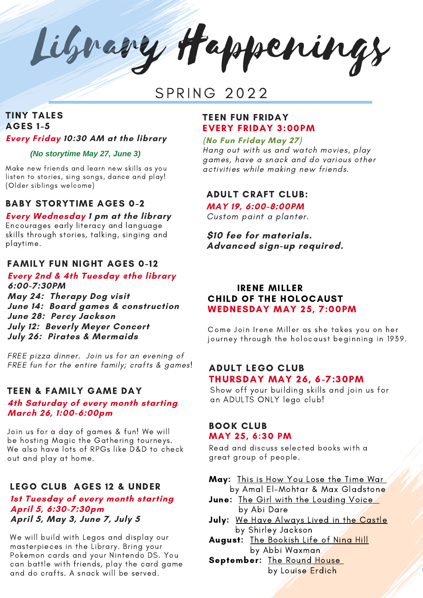Library Happenings

# SPRING 2022

# TINY TALES AGES 1-5 **Every Friday 10:30 AM at the library**

#### *(No storytime May 27, June 3)*

Make new friends and learn new skills as you listen to stories, sing songs, dance and play! (Older siblings welcome)

#### BABY STORYTIME AGES 0-2

#### **Every Wednesday 1 pm at the library**

Encourages early literacy and language skills through stories, talking, singing and playtime.

#### FAMILY FUN NIGHT AGES 0-12

**Every 2nd & 4th Tuesday @the library 6:00-7:30PM May 24: Therapy Dog visit June 14: Board games & construction June 28: Percy Jackson**

**July 12: Beverly Meyer Concert July 26: Pirates & Mermaids**

FREE pizza dinner. Join us for an evening of FREE fun for the entire family; crafts & games!

#### TEEN & FAMILY GAME DAY

#### **4th Saturday of every month starting March 26, 1:00-6:00pm**

Join us for a day of games & fun! We will be hosting Magic the Gathering tourneys. We also have lots of RPGs like D&D to check out and play at home.

# LEGO CLUB AGES 12 & UNDER

#### **1st Tuesday of every month starting April 5, 6:30-7:30pm April 5, May 3, June 7, July 5**

We will build with Legos and display our masterpieces in the Library. Bring your Pokemon cards and your Nintendo DS. You can battle with friends, play the card game and do crafts. A snack will be served.

#### TEEN FUN FRIDAY EVERY FRIDAY 3:00PM

**(No Fun Friday May 27)**

Hang out with us and watch movies, play games, have a snack and do various other activities while making new friends.

ADULT CRAFT CLUB:

# **MAY 19, 6:00-8:00PM**

Custom paint a planter.

**\$10 fee for materials. Advanced sign-up required.**

## IRENE MILLER CHILD OF THE HOLOCAUST WEDNESDAY MAY 25, 7:00PM

Come Join Irene Miller as she takes you on her journey through the holocaust beginning in 1939.

## ADULT LEGO CLUB THURSDAY MAY 26, 6-7:30PM

Show off your building skills and join us for an ADULTS ONLY lego club!

#### BOOK CLUB MAY 25, 6:30 PM

Read and discuss selected books with a great group of people.

May: This is How You Lose the Time War by Amal El-Mohtar & Max Gladstone

- June: The Girl with the Louding Voice by Abi Dare
- July: We Have Always Lived in the Castle by Shirley Jackson
- August: The Bookish Life of Nina Hill by Abbi Waxman
- September: The Round House by Louise Erdich